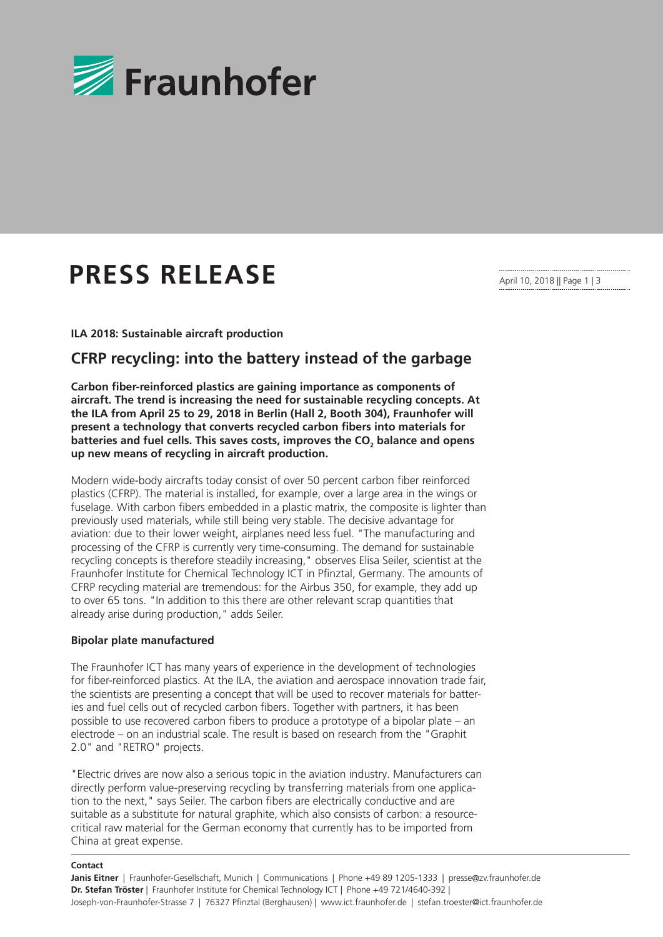

# **PRESS RELEASE**

April 10, 2018 || Page 1 | 3

**ILA 2018: Sustainable aircraft production** 

## **CFRP recycling: into the battery instead of the garbage**

**Carbon fiber-reinforced plastics are gaining importance as components of aircraft. The trend is increasing the need for sustainable recycling concepts. At the ILA from April 25 to 29, 2018 in Berlin (Hall 2, Booth 304), Fraunhofer will present a technology that converts recycled carbon fibers into materials for batteries and fuel cells. This saves costs, improves the CO<sup>2</sup> balance and opens up new means of recycling in aircraft production.**

Modern wide-body aircrafts today consist of over 50 percent carbon fiber reinforced plastics (CFRP). The material is installed, for example, over a large area in the wings or fuselage. With carbon fibers embedded in a plastic matrix, the composite is lighter than previously used materials, while still being very stable. The decisive advantage for aviation: due to their lower weight, airplanes need less fuel. "The manufacturing and processing of the CFRP is currently very time-consuming. The demand for sustainable recycling concepts is therefore steadily increasing," observes Elisa Seiler, scientist at the Fraunhofer Institute for Chemical Technology ICT in Pfinztal, Germany. The amounts of CFRP recycling material are tremendous: for the Airbus 350, for example, they add up to over 65 tons. "In addition to this there are other relevant scrap quantities that already arise during production," adds Seiler.

#### **Bipolar plate manufactured**

The Fraunhofer ICT has many years of experience in the development of technologies for fiber-reinforced plastics. At the ILA, the aviation and aerospace innovation trade fair, the scientists are presenting a concept that will be used to recover materials for batteries and fuel cells out of recycled carbon fibers. Together with partners, it has been possible to use recovered carbon fibers to produce a prototype of a bipolar plate – an electrode – on an industrial scale. The result is based on research from the "Graphit 2.0" and "RETRO" projects.

"Electric drives are now also a serious topic in the aviation industry. Manufacturers can directly perform value-preserving recycling by transferring materials from one application to the next," says Seiler. The carbon fibers are electrically conductive and are suitable as a substitute for natural graphite, which also consists of carbon: a resourcecritical raw material for the German economy that currently has to be imported from China at great expense.

#### **Contact**

**Janis Eitner** | Fraunhofer-Gesellschaft, Munich | Communications | Phone +49 89 1205-1333 | presse@zv.fraunhofer.de **Dr. Stefan Tröster** | Fraunhofer Institute for Chemical Technology ICT | Phone +49 721/4640-392 | Joseph-von-Fraunhofer-Strasse 7 | 76327 Pfinztal (Berghausen) | www.ict.fraunhofer.de | stefan.troester@ict.fraunhofer.de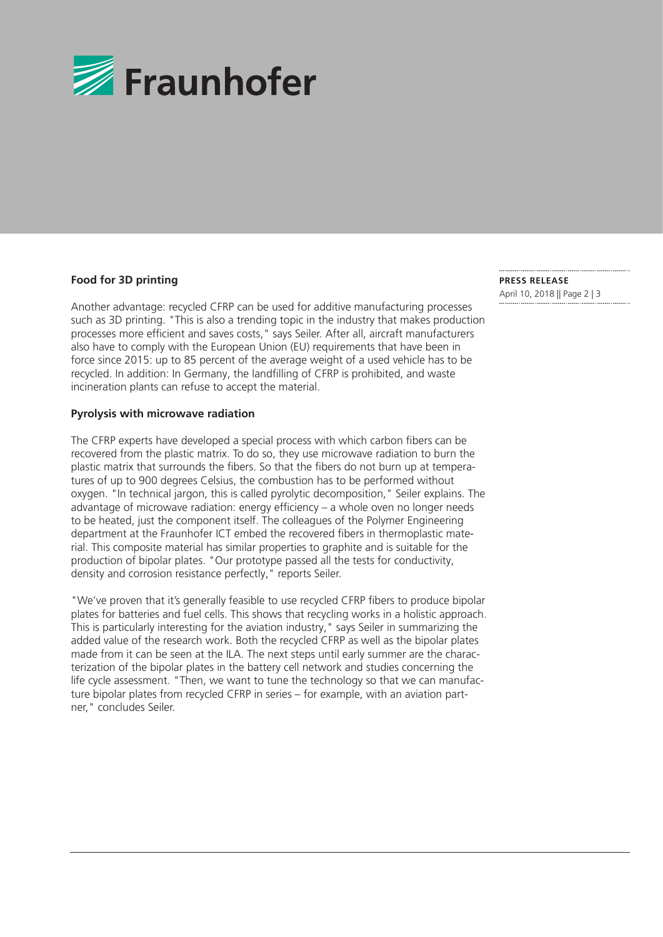

#### **Food for 3D printing**

Another advantage: recycled CFRP can be used for additive manufacturing processes such as 3D printing. "This is also a trending topic in the industry that makes production processes more efficient and saves costs," says Seiler. After all, aircraft manufacturers also have to comply with the European Union (EU) requirements that have been in force since 2015: up to 85 percent of the average weight of a used vehicle has to be recycled. In addition: In Germany, the landfilling of CFRP is prohibited, and waste incineration plants can refuse to accept the material.

#### **Pyrolysis with microwave radiation**

The CFRP experts have developed a special process with which carbon fibers can be recovered from the plastic matrix. To do so, they use microwave radiation to burn the plastic matrix that surrounds the fibers. So that the fibers do not burn up at temperatures of up to 900 degrees Celsius, the combustion has to be performed without oxygen. "In technical jargon, this is called pyrolytic decomposition," Seiler explains. The advantage of microwave radiation: energy efficiency – a whole oven no longer needs to be heated, just the component itself. The colleagues of the Polymer Engineering department at the Fraunhofer ICT embed the recovered fibers in thermoplastic material. This composite material has similar properties to graphite and is suitable for the production of bipolar plates. "Our prototype passed all the tests for conductivity, density and corrosion resistance perfectly," reports Seiler.

"We've proven that it's generally feasible to use recycled CFRP fibers to produce bipolar plates for batteries and fuel cells. This shows that recycling works in a holistic approach. This is particularly interesting for the aviation industry," says Seiler in summarizing the added value of the research work. Both the recycled CFRP as well as the bipolar plates made from it can be seen at the ILA. The next steps until early summer are the characterization of the bipolar plates in the battery cell network and studies concerning the life cycle assessment. "Then, we want to tune the technology so that we can manufacture bipolar plates from recycled CFRP in series – for example, with an aviation partner," concludes Seiler.

**PRESS RELEASE**  April 10, 2018 || Page 2 | 3